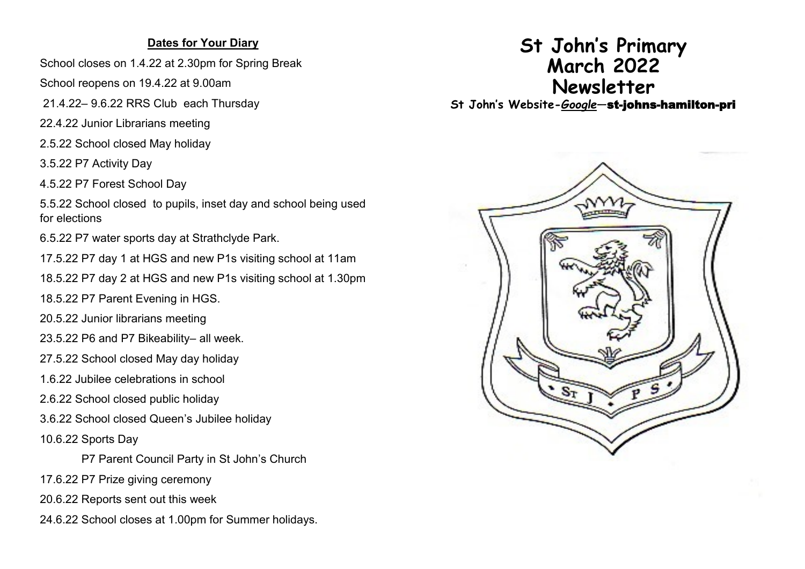## **Dates for Your Diary**

School closes on 1.4.22 at 2.30pm for Spring Break

School reopens on 19.4.22 at 9.00am

21.4.22– 9.6.22 RRS Club each Thursday

22.4.22 Junior Librarians meeting

2.5.22 School closed May holiday

3.5.22 P7 Activity Day

4.5.22 P7 Forest School Day

5.5.22 School closed to pupils, inset day and school being used for elections

6.5.22 P7 water sports day at Strathclyde Park.

17.5.22 P7 day 1 at HGS and new P1s visiting school at 11am

18.5.22 P7 day 2 at HGS and new P1s visiting school at 1.30pm

18.5.22 P7 Parent Evening in HGS.

20.5.22 Junior librarians meeting

23.5.22 P6 and P7 Bikeability– all week.

27.5.22 School closed May day holiday

1.6.22 Jubilee celebrations in school

2.6.22 School closed public holiday

3.6.22 School closed Queen's Jubilee holiday

10.6.22 Sports Day

P7 Parent Council Party in St John's Church

17.6.22 P7 Prize giving ceremony

20.6.22 Reports sent out this week

24.6.22 School closes at 1.00pm for Summer holidays.

## **St John's Primary March 2022 Newsletter**

**St John's Website-***Google*—st-johns-hamilton-pri